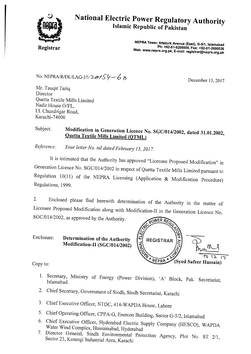

## **National Electric Power Regulatory Authority Islamic Republic of Pakistan**

**Registrar** 

**NEPRA Tower, Attaturk Avenue (East), G-5/1, Islamabad Ph: +92-51-9206500, Fax: +92-51-2600026 Web: www.nepra.org.pk, E-mail: registrar@nepra.org.pk** 

No. NEPRA/R/DL/LAG-37/  $2e^{2\theta}$   $6\theta$ 

Mr. Tauqir Tariq Director Quetta Textile Mills Limited Nadir House G/FL, I.I. Chundrigar Road, Karachi-74000

#### Subject: **Modification in Generation Licence No. SGC/014/2002, dated 31.01.2002, Quetta Textile Mills Limited (QTML)**

*Reference: Your letter No. nil dated February 13, 2017.* 

It is intimated that the Authority has approved "Licensee Proposed Modification" in Generation Licence No. SGC/014/2002 in respect of Quetta Textile Mills Limited pursuant to Regulation 10(11) of the NEPRA Licensing (Application & Modification Procedure) Regulations, 1999.

2. Enclosed please find herewith determination of the Authority in the matter of Licensee Proposed Modification along with Modification-II in the Generation Licence No. SGC/014/2002, as approved by the Authority.

#### Enclosure: **Determination of the Authority Modification-II (SGC/014/2002)**

Copy to:

- 1. Secretary, Ministry of Energy (Power Division), 'A' Block, Pak. Secretariat, Islamabad.
- 2. Chief Secretary, Government of Sindh, Sindh Secretariat, Karachi
- 3. Chief Executive Officer, NTDC, 414-WAPDA House, Lahore
- 5. Chief Operating Officer, CPPA-G, Enercon Building, Sector G-5/2, Islamabad
- 6. Chief Executive Officer, Hyderabad Electric Supply Company (HESCO), WAPDA Water Wind Complex, Hussainabad, Hyderabad
- 7. Director General, Sindh Environmental Protection Agency, Plot No. ST 2/1, Sector 23, Korangi Industrial Area, Karachi

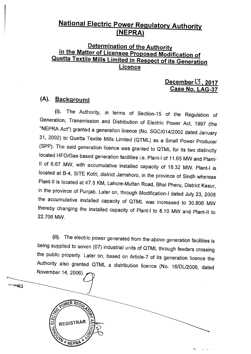### **National Electric Power Regulatory Authority (NEPRA)**

#### **Determination of the Authority in the Matter of Licensee Proposed Modification of Quetta Textile Mills Limited in Respect of its Generation Licence**

#### **December13 , 2017 Case No. LAG-37**

### **(A). Background**

(i). The Authority, in terms of Section-15 of the Regulation of Generation, Transmission and Distribution of Electric Power Act, 1997 (the "NEPRA Act") granted a generation licence (No. SGC/014/2002 dated January 31, 2002) to Quetta Textile Mills Limited (QTML) as a Small Power Producer (SPP). The said generation licence was granted to QTML for its two distinctly located HFO/Gas based generation facilities i.e. Plant-I of 11.65 MW and Plant-II of 6.67 MW, with accumulative installed capacity of 18.32 MW. Plant-I is located at B-4, SITE Kotri, district Jamshoro, in the province of Sindh whereas Plant-II is located at 47.5 KM, Lahore-Multan Road, Bhai Pheru, District Kasur, in the province of Punjab. Later on, through Modification-I dated July 23, 2008 the accumulative installed capacity of QTML was increased to 30.806 MW thereby changing the installed capacity of Plant-I to 8.10 MW and Plant-II to 22.706 MW.

(ii). The electric power generated from the above generation facilities is being supplied to seven (07) industrial units of QTML through feeders crossing the public property. Later on, based on Article-7 of its generation licence the Authority also granted QTML a distribution licence (No. 16/DL/2006, dated November 14, 2006).

 $\overline{\mathcal{H}}$ 

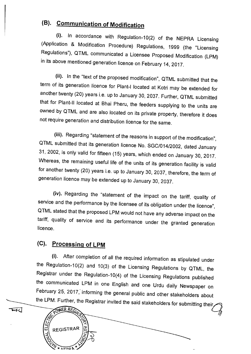## **(B). Communication of Modification**

(i). In accordance with Regulation-10(2) of the NEPRA Licensing (Application & Modification Procedure) Regulations, 1999 (the "Licensing Regulations"), QTML communicated a Licensee Proposed Modification (LPM) in its above mentioned generation licence on February 14, 2017.

(ii). In the "text of the proposed modification", QTML submitted that the term of its generation licence for Plant-I located at Kotri may be extended for another twenty (20) years i.e. up to January 30, 2037. Further, QTML submitted that for Plant-II located at Bhai Pheru, the feeders supplying to the units are owned by QTML and are also located on its private property, therefore it does not require generation and distribution licence for the same.

(iii). Regarding "statement of the reasons in support of the modification", QTML submitted that its generation licence No. SGC/014/2002, dated January 31. 2002, is only valid for fifteen (15) years, which ended on January 30, 2017. Whereas, the remaining useful life of the units of its generation facility is valid for another twenty (20) years i.e. up to January 30, 2037, therefore, the term of generation licence may be extended up to January 30, 2037.

(iv). Regarding the "statement of the impact on the tariff, quality of service and the performance by the licensee of its obligation under the licence", QTML stated that the proposed LPM would not have any adverse impact on the tariff, quality of service and its performance under the granted generation licence.

### **(C). Processing of LPM**

(i). After completion of all the required information as stipulated under the Regulation-10(2) and 10(3) of the Licensing Regulations by QTML, the Registrar under the Regulation-10(4) of the Licensing Regulations published the communicated LPM in one English and one Urdu daily Newspaper on February 25, 2017; informing the general public and other stakeholders about the LPM. Further, the Registrar invited the said stakeholders for submitting their,



wad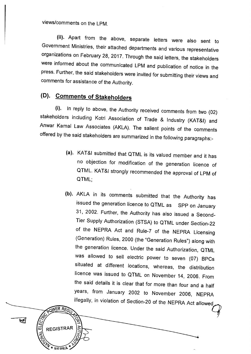views/comments on the LPM.

**(ii).** Apart from the above, separate letters were also sent to Government Ministries, their attached departments and various representative organizations on February 28, 2017. Through the said letters, the stakeholders were informed about the communicated LPM and publication of notice in the press. Further, the said stakeholders were invited for submitting their views and comments for assistance of the Authority.

### **(D). Comments of Stakeholders**

**NER REG** 

**REGISTRAR** 

₩

**(i).** In reply to above, the Authority received comments from two (02) stakeholders including Kotri Association of Trade & Industry (KAT&I) and Anwar Kamal Law Associates (AKLA). The salient points of the comments offered by the said stakeholders are summarized in the following paragraphs:-

- (a). KAT&I submitted that QTML is its valued member and it has no objection for modification of the generation licence of QTML. KAT&I strongly recommended the approval of LPM of QTML;
- (b). AKLA in its comments submitted that the Authority has issued the generation licence to QTML as SPP on January 31, 2002. Further, the Authority has also issued a Second-Tier Supply Authorization (STSA) to QTML under Section-22 of the NEPRA Act and Rule-7 of the NEPRA Licensing (Generation) Rules, 2000 (the "Generation Rules") along with the generation licence. Under the said Authorization, QTML was allowed to sell electric power to seven (07) BPCs situated at different locations, whereas, the distribution licence was issued to QTML on November 14, 2006. From the said details it is clear that for more than four and a half years, from January 2002 to November 2006, NEPRA illegally, in violation of Section-20 of the NEPRA Act allowed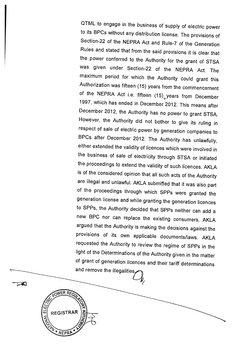QTML to engage in the business of supply of electric power to its BPCs without any distribution license. The provisions of Section-22 of the NEPRA Act and Rule-7 of the Generation Rules and stated that from the said provisions it is clear that the power conferred to the Authority for the grant of STSA was given under Section-22 of the NEPRA Act. The maximum period for which the Authority could grant this Authorization was fifteen (15) years from the commencement of the NEPRA Act i.e. fifteen (15)<sub>o</sub>years from December 1997, which has ended in December 2012. This means after December 2012, the Authority has no power to grant STSA. However, the Authority did not bother to give its ruling in respect of sale of electric power by generation companies to BPCs after December 2012. The Authority has unlawfully, either extended the validity of licences which were involved in the business of sale of electricity through STSA or initiated the proceedings to extend the validity of such licences. AKLA is of the considered opinion that all such acts of the Authority are illegal and unlawful. AKLA submitted that it was also part of the proceedings through which SPPs were granted the generation license and while granting the generation licences to SPPs, the Authority decided that SPPs neither can add a new BPC nor can replace the existing consumers. AKLA argued that the Authority is making the decisions against the provisions of its own applicable documents/laws. AKLA requested the Authority to review the regime of SPPs in the light of the Determinations of the Authority given in the matter of grant of generation licences and their tariff determinations and remove the illegalities

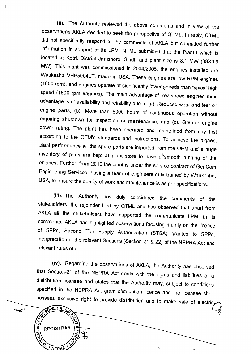(ii). The Authority reviewed the above comments and in view of the observations AKLA decided to seek the perspective of QTML. In reply, QTML did not specifically respond to the comments of AKLA but submitted further information in support of its LPM. QTML submitted that the Plant-I which is located at Kotri, District Jamshoro, Sindh and plant size is 8.1 MW (09X0.9 MW). This plant was commissioned in 2004/2005, the engines installed are Waukesha VHP5904LT, made in USA. These engines are low RPM engines (1000 rpm), and engines operate at significantly lower speeds than typical high speed (1500 rpm engines). The main advantage of low speed engines main advantage is of availability and reliability due to (a). Reduced wear and tear on engine parts; (b). More than 8000 hours of continuous operation without requiring shutdown for inspection or maintenance; and (c). Greater engine power rating. The plant has been operated and maintained from day first according to the OEM's standards and instructions. To achieve the highest plant performance all the spare parts are imported from the OEM and a huge inventory of parts are kept at plant store to have a smooth running of the engines. Further, from 2010 the plant is under the service contract of GenCom Engineering Services, having a team of engineers duly trained by Waukesha, USA, to ensure the quality of work and maintenance is as per specifications.

(iii). The Authority has duly considered the comments of the stakeholders, the rejoinder filed by QTML and has observed that apart from AKLA all the stakeholders have supported the communicate LPM. In its comments, AKLA has highlighted observations focusing mainly on the licence of SPPs, Second Tier Supply Authorization (STSA) granted to SPPs, interpretation of the relevant Sections (Section-21 & 22) of the NEPRA Act and relevant rules etc.

(iv). Regarding the observations of AKLA, the Authority has observed that Section-21 of the NEPRA Act deals with the rights and liabilities of a distribution licensee and states that the Authority may, subject to conditions specified in the NEPRA Act grant distribution licence and the licensee shall possess exclusive right to provide distribution and to make sale of electric,

 $\ddot{\mathbf{Q}}$ 

**OWER REG** 

**REGISTRAR** 

NFPRA

冚

 $\mathbf{w}$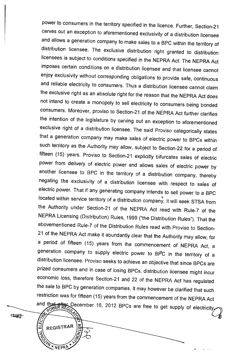power to consumers in the territory specified in the licence. Further, Section-21 carves out an exception to aforementioned exclusivity of a distribution licensee and allows a generation company to make sales to a BPC within the territory of distribution licensee. The exclusive distribution right granted to distribution licensees is subject to conditions specified in the NEPRA Act. The NEPRA Act imposes certain conditions on a distribution licensee and that licensee cannot enjoy exclusivity without corresponding obligations to provide safe, continuous and reliable electricity to consumers. Thus a distribution licensee cannot claim the exclusive right as an absolute right for the reason that the NEPRA Act does not intend to create a monopoly to sell electricity to consumers being bonded consumers. Moreover, proviso to Section-21 of the NEPRA Act further clarifies the intention of the legislature by carving out an exception to aforementioned exclusive right of a distribution licensee. The said Proviso categorically states that a generation company may make sales of electric power to BPCs within such territory as the Authority may allow, subject to Section-22 for a period of fifteen (15) years. Proviso to Section-21 explicitly bifurcates sales of electric power from delivery of electric power and allows sales of electric power by another licensee to BPC in the territory of a distribution company, thereby negating the exclusivity of a distribution licensee with respect to sales of electric power. That if any generating company intends to sell power to a BPC located within service territory of a distribution company, it will seek STSA from the Authority under Section-21 of the NEPRA Act read with Rule-7 of the NEPRA Licensing (Distribution) Rules, 1999 ("the Distribution Rules"). That the abovementioned Rule-7 of the Distribution Rules read with Proviso to Section-21 of the NEPRA Act make it abundantly clear that the Authority may allow, for a period of fifteen (15) years from the commencement of NEPRA Act, a generation company to supply electric power to BPC in the territory of a distribution licensee. Proviso seeks to achieve an objective that since BPCs are prized consumers and in case of losing BPCs, distribution licensee might incur economic loss, therefore Section-21 and 22 of the NEPRA Act has regulated the sale to BPC by generation companies. It may however be clarified that such restriction was for fifteen (15) years from the commencement of the NEPRA Act and that after December 16, 2012 BPCs are free to get supply of electricity,

**REFERRA** 

**REGISTRAR** 

NEPRA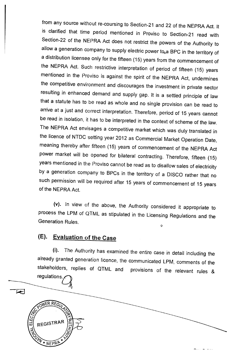from any source without re-coursing to Section-21 and 22 of the NEPRA Act. It is clarified that time period mentioned in Proviso to Section-21 read with Section-22 of the NEPRA Act does not restrict the powers of the Authority to allow a generation company to supply electric power to<sub>o</sub>a BPC in the territory of a distribution licensee only for the fifteen (15) years from the commencement of the NEPRA Act. Such restrictive interpretation of period of fifteen (15) years mentioned in the Proviso is against the spirit of the NEPRA Act, undermines the competitive environment and discourages the investment in private sector resulting in enhanced demand and supply gap. It is a settled principle of law that a statute has to be read as whole and no single provision can be read to arrive at a just and correct interpretation. Therefore, period of 15 years cannot be read in isolation, it has to'be interpreted in the context of scheme of the law. The NEPRA Act envisages a competitive market which was duly translated in the licence of NTDC setting year 2012 as Commercial Market Operation Date, meaning thereby after fifteen (15) years of commencement of the NEPRA Act power market will be opened for bilateral contracting. Therefore, fifteen (15) years mentioned in the Proviso cannot be read as to disallow sales of electricity by a generation company to BPCs in the territory of a DISCO rather that no such permission will be required after 15 years of commencement of 15 years of the NEPRA Act.

(v). In view of the above, the Authority considered it appropriate to process the LPM of QTML as stipulated in the Licensing Regulations and the Generation Rules.  $\circ$ 

#### **(E). Evaluation of the Case**

 $\overline{\blacktriangleright}$ 

NER REC

REGISTRAR

NEPRE

**(i).** The Authority has examined the entire case in detail including the already granted generation licence, the communicated LPM, comments of the stakeholders, replies of QTML and provisions of the relevant rules & regulations.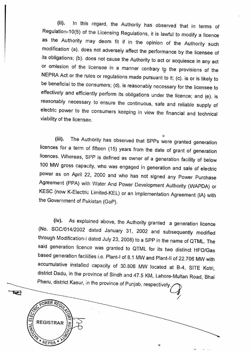(ii). In this regard, the Authority has observed that in terms of Regulation-10(5) of the Licensing Regulations, it is lawful to modify a licence as the Authority may deem fit if in the opinion of the Authority such modification (a). does not adversely affect the performance by the licensee of its obligations; (b). does not cause the Authority to act or acquiesce in any act or omission of the licensee in a manner contrary to the provisions of the NEPRA Act or the rules or regulations made pursuant to it; (c). is or is likely to be beneficial to the consumers; (d). is reasonably necessary for the licensee to effectively and efficiently perform its obligations under the licence; and (e). is reasonably necessary to ensure the continuous, safe and reliable supply of electric power to the consumers keeping in view the financial and technical viability of the licensee.

(iii). The Authority has observed that SPPs were granted generation licences for a term of fifteen (15) years from the date of grant of generation licences. Whereas, SPP is defined as owner of a generation facility of below 100 MW gross capacity, who was engaged in generation and sale of electric power as on April 22, 2000 and who has not signed any Power Purchase Agreement (PPA) with Water And Power Development Authority (WAPDA) or KESC (now K-Electric Limited-KEL) or an Implementation Agreement (IA) with the Government of Pakistan (GoP).

(iv). As explained above, the Authority granted a generation licence (No. SGC/014/2002 dated January 31, 2002 and subsequently modified through Modification-I dated July 23, 2008) to a SPP in the name of QTML. The said generation licence was granted to QTML for its two distinct HFO/Gas based generation facilities i.e. Plant-I of 8.1 MW and Plant-II of 22.706 MW with accumulative installed capacity of 30.806 MW located at B-4, SITE Kotri, district Dadu, in the province of Sindh and 47.5 KM, Lahore-Multan Road, Bhai Pheru, district Kasur, in the province of Punjab, respectively.

 $\circ$ 

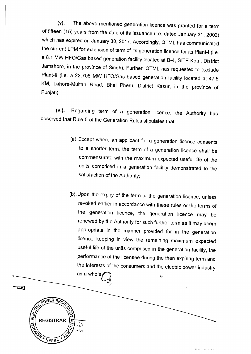(v). The above mentioned generation licence was granted for a term of fifteen (15) years from the date of its issuance (i.e. dated January 31, 2002) which has expired on January 30, 2017. Accordingly, QTML has communicated the current LPM for extension of term of its generation licence for its Plant-I (i.e. a 8.1 MW HFO/Gas based generation facility located at B-4, SITE Kotri, District Jamshoro, in the province of Sindh). Further, QTML has requested to exclude Plant-II (i.e. a 22.706 MW HFO/Gas based generation facility located at 47.5 KM, Lahore-Multan Road, Bhai Pheru, District Kasur, in the province of Punjab).

(vi). Regarding term of a generation licence, the Authority has observed that Rule-5 of the Generation Rules stipulates that:-

- (a). Except where an applicant for a generation licence consents to a shorter term, the term of a generation licence shall be commensurate with the maximum expected useful life of the units comprised in a generation facility demonstrated to the satisfaction of the Authority;
- (b). Upon the expiry of' the term of the generation licence, unless revoked earlier in accordance with these rules or the terms of the generation licence, the generation licence may be renewed by the Authority for such further term as it may deem appropriate in the manner provided for in the generation licence keeping in view the remaining maximum expected useful life of the units comprised in the generation facility, the performance of the licensee during the then expiring term and the interests of the consumers and the electric power industry

 $\ddot{\Theta}$ 



as a whole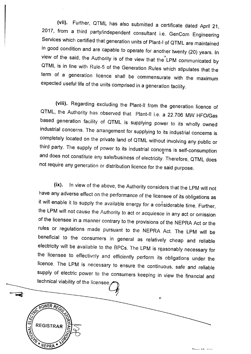(vii). Further, QTML has also submitted a certificate dated April 21, 2017, from a third party/independent consultant i.e. GenCom Engineering Services which certified that generation units of Plant-I of QTML are maintained in good condition and are capable to operate for another twenty (20) years. In view of the said, the Authority is of the view that the LPM communicated by QTML is in line with Rule-5 of the Generation Rules which stipulates that the term of a generation licence shall be commensurate with the maximum expected useful life of the units comprised in a generation facility.

(viii). Regarding excluding the Plant-II from the generation licence of QTML, the Authority has observed that Plant-II i.e. a 22.706 MW HFO/Gas based generation facility of QTML is supplying power to its wholly owned industrial concerns. The arrangement for supplying to its industrial concerns is completely located on the private land of QTML without involving any public or third party. The supply of power to its industrial concerns is self-consumption and does not constitute any sale/business of electricity. Therefore, QTML does not require any generation or distribution licence for the said purpose.

(ix). In view of the above, the Authority considers that the LPM will not have any adverse effect on the performance of the licensee of its obligations as it will enable it to supply the available energy for a considerable time. Further, the LPM will not cause the Authority to act or acquiesce in any act or omission of the licensee in a manner contrary to the provisions of the NEPRA Act or the rules or regulations made pursuant to the NEPRA Act. The LPM will be beneficial to the consumers in general as relatively cheap and reliable electricity will be available to the BPCs. The LPM is reasonably necessary for the licensee to effectively and efficiently perform its obligations under the licence. The LPM is necessary to ensure the continuous, safe and reliable supply of electric power to the consumers keeping in view the financial and technical viability of the licensee.

 $\circ$ 



 $\overline{\blacktriangleleft}$ 

 $D = 40.544$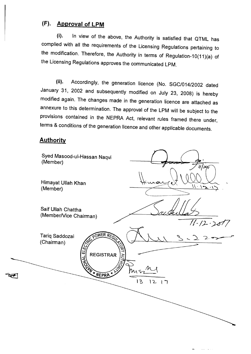### **(F). Approval of LPM**

(i). In view of the above, the Authority is satisfied that QTML has complied with all the requirements of the Licensing Regulations pertaining to the modification. Therefore, the Authority in terms of Regulation-10(11)(a) of the Licensing Regulations approves the communicated LPM.

(ii). Accordingly, the generation licence (No. SGC/014/2002 dated January 31, 2002 and subsequently modified on July 23, 2008) is hereby modified again. The changes made in the generation licence are attached as annexure to this determination. The approval of the LPM will be subject to the provisions contained in the NEPRA Act, relevant rules framed there under, terms & conditions of the generation licence and other applicable documents.

#### **Authority**

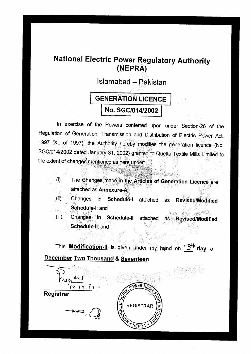### **National Electric Power Regulatory Authority (NEPRA)**

**Islamabad — Pakistan** 

r

• •

# **GENERATION LICENCE No. SGC/014/2002**

In exercise of the Powers conferred upon under Section-26 of the Regulation of Generation, Transmission and Distribution of Electric Power Act, 1997 (XL of 1997), the Authority hereby modifies the generation licence (No. SGC/014/2002 dated January 31, 2002) granted to Quetta Textile Mills Limited to the extent of changes mentioned as here under:

- The Changes made in the **Articles of Generation Licence** are  $(i)$ . attached as **Annexure-A.**
- (ii). Changes in **Schedule-I** attached as **Revised/Modified Schedule-I;** and
- (iii). Changes in **Schedule-II** attached as **Revised/Modified Schedule-II;** and

This **Modification-II** is given under my hand on **13111day** of **December Two Thousand & Seventeen** 

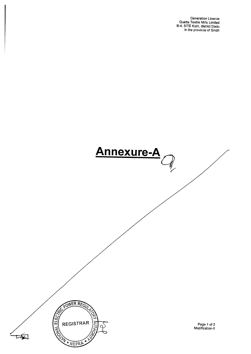Generation Licence Quetta Textile Mills Limited B-4, SITE Kotri, district Dadu in *the* province of Sindh

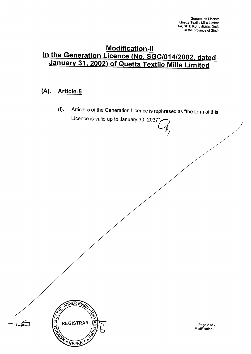### **Modification-II in the Generation Licence (No. SGC/014/2002, dated January 31, 2002) of Quetta Textile Mills Limited**

#### **(A). Article-5**

**POWER REG** 

**REGISTRAR** 

NEPRA

AL EL

(i). Article-5 of the Generation Licence is rephrased as "the term of this Licence is valid up to January 30, 2037"

> Page 2 of 2 Modification-II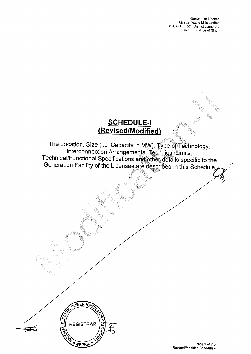Generation Licence Quetta Textile Mills Limited B-4, SITE Kotri, District Jamshoro in the province of Sindh

### **SCHEDULE-I (Revised/Modified)**

**The Location, Size (i.e. Capacity in KW), Type of Technology, Interconnection Arrangements,** Technical **Limits, Technical/Functional Specifications and** other **details specific to the Generation Facility of the Licensee** are described **in this Schedule** 

OWER RE

**REGISTRAR** 

NEPR

 $\vec{u}$ 

 $\frac{1}{2}$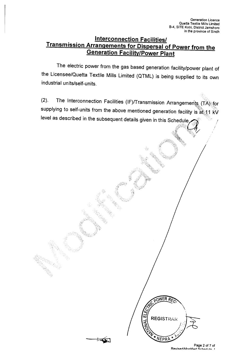#### **Interconnection Facilities/ Transmission Arrangements for Dispersal of Power from the Generation Facility/Power Plant**

The electric power from the gas based generation facility/power plant of the Licensee/Quetta Textile Mills Limited (QTML) is being supplied to its own industrial units/self-units.

(2). The Interconnection Facilities (IF)/Transmission Arrangements (TA) for supplying to self-units from the above mentioned generation facility is at 11 kV level as described in the subsequent details given in this Schedule.

> Page 2 of 7 of Revised/Modified Schedule

**POWER R** 

**REGISTRAR** 

NEPRA

ĩ.,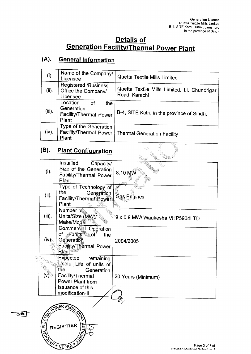7Ş

t.

### **Details of Generation Facility/Thermal Power Plant**

### **(A). General Information**

| (i).      | Name of the Company/<br>_icensee                                               | Quetta Textile Mills Limited                                   |
|-----------|--------------------------------------------------------------------------------|----------------------------------------------------------------|
| (ii).     | Registered /Business<br>Office the Company/<br>Licensee                        | Quetta Textile Mills Limited, I.I. Chundrigar<br>Road, Karachi |
| $(iii)$ . | Location<br>.of<br>the<br>Generation<br><b>Facility/Thermal Power</b><br>Plant | B-4, SITE Kotri, in the province of Sindh.                     |
| (iv).     | Type of the Generation<br>Facility/Thermal Power<br>Plant                      | Thermal Generation Facility                                    |

 $\lambda_{\rm K}^{\rm 2D}$ 

### **(B). Plant Configuration**

typ

| (B).                       | <b>Plant Configuration</b>                                                                                                                                  |                                               |
|----------------------------|-------------------------------------------------------------------------------------------------------------------------------------------------------------|-----------------------------------------------|
|                            |                                                                                                                                                             |                                               |
| (i).                       | Installed<br>Capacity/<br>Size of the Generation<br><b>Facility/Thermal Power</b><br>Plant                                                                  | 8.10 MW<br>(活動)                               |
| (ii).                      | Type of Technology of<br>the<br>Generation<br>Facility/Thermal <sup>(power</sup><br>Plant<br>$\mathcal{L}_{\mathcal{D}}$                                    | Gas Engines                                   |
| $(iii)$ .                  | Number of<br>Units/Size (MW)/<br>Make/Model                                                                                                                 | 9 x 0.9 MW/ Waukesha VHP5904LTD               |
| $(iv)_{\hat{x}_{\hat{x}}}$ | Commercial Operation<br>of <i>w</i> units of<br>the<br>Generation<br>Facility/Thermal Power<br><b>Plant</b>                                                 | 2004/2005                                     |
| (v).⊗                      | Expected<br>remaining<br>Useful Life of units of<br>the<br>Generation<br>Facility/Thermal<br>Power Plant from<br><b>Issuance of this</b><br>modification-II | 20 Years (Minimum)                            |
| ELEC <sub>7</sub>          | POWER REGULAC<br>REGISTRAR<br>A WEPRA                                                                                                                       | Page 3 of 7 of<br>Revised/Modified Schodule 1 |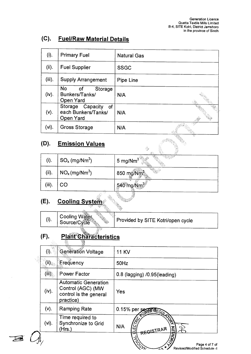#### **(C). Fuel/Raw Material Details**

| (i).      | <b>Primary Fuel</b>                                         | <b>Natural Gas</b> |
|-----------|-------------------------------------------------------------|--------------------|
| (ii).     | <b>Fuel Supplier</b>                                        | <b>SSGC</b>        |
| $(iii)$ . | <b>Supply Arrangement</b>                                   | Pipe Line          |
| (iv).     | No l<br>of<br>Storage<br>Bunkers/Tanks/<br><b>Open Yard</b> | N/A                |
| (v).      | Storage Capacity<br>of<br>each Bunkers/Tanks/<br>Open Yard  | N/A                |
| $(vi)$ .  | <b>Gross Storage</b>                                        | N/A                |
| (D).      | <b>Emission Values</b>                                      | Gé                 |

#### **(D). Emission Values**

| (i).      | $SO_x$ (mg/Nm <sup>3</sup> )                  | 88<br>$\mathcal{A}^{\mathcal{O}}_{\mathcal{A}}$ .<br><b>RANGER COMPANY</b><br>S. The Big Gard<br>$5 \text{ mg}/\text{Nm}^3$ |
|-----------|-----------------------------------------------|-----------------------------------------------------------------------------------------------------------------------------|
| (ii).     | $\vert$ NO <sub>x</sub> (mg/Nm <sup>3</sup> ) | V.<br>850 mg/Nm <sup>3</sup>                                                                                                |
| $(iii)$ . | CO                                            | 540 mg/Nm <sup>3</sup>                                                                                                      |
|           | A.                                            | $\mathcal{V}$ ( $\mathcal{U}$<br>- 93<br>68                                                                                 |

 $\psi_{\mathcal{F}}$ 

### **(E). Cooling System**

Cooling Water<br>Source/Cycle  $(i).$ Provided by SITE Kotri/open cycle

# **(E). Plant Characteristics**

|  |          | E.                                                                                      |                                                                                                                                                                     |
|--|----------|-----------------------------------------------------------------------------------------|---------------------------------------------------------------------------------------------------------------------------------------------------------------------|
|  | (i).     | <b>Generation Voltage</b>                                                               | <b>11 KV</b>                                                                                                                                                        |
|  | (ii)     | 。<br>Erequency                                                                          | 50Hz                                                                                                                                                                |
|  | (iii)    | Power Factor                                                                            | 0.8 (lagging) /0.95(leading)                                                                                                                                        |
|  | (iv).    | <b>Automatic Generation</b><br>Control (AGC) (MW<br>control is the general<br>practice) | Yes                                                                                                                                                                 |
|  | $(v)$ .  | <b>Ramping Rate</b>                                                                     | 0.15% per Seven REGUL                                                                                                                                               |
|  | $(vi)$ . | Time required to<br>Synchronize to Grid<br>(Hrs.)                                       | <b>ROAN</b><br>N/A<br>Цī<br>REGISTRAR                                                                                                                               |
|  |          |                                                                                         | <b>ARIQUITIV</b><br>$\begin{matrix} \mathcal{I}_{\mathcal{J}_{\mathcal{O}_{\mathcal{L}}}} \\ \mathcal{I}_{\mathcal{O}_{\mathcal{L}}}\end{matrix}$<br>Page 4 of 7 of |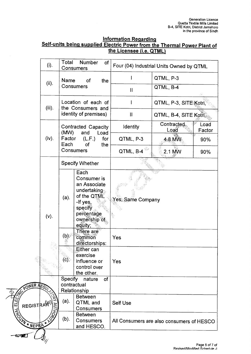#### **Information Regarding Self-units being supplied Electric Power from the Thermal Power Plant of the Licensee (i.e. QTML)**

|         | (i)                                                | Total<br><b>Number</b><br>of<br>Consumers                         |                                                                                                                                   | Four (04) Industrial Units Owned by QTML |                                           |                |  |  |
|---------|----------------------------------------------------|-------------------------------------------------------------------|-----------------------------------------------------------------------------------------------------------------------------------|------------------------------------------|-------------------------------------------|----------------|--|--|
|         | (ii).                                              | Name<br><b>of</b><br>the                                          |                                                                                                                                   |                                          | QTML, P-3                                 |                |  |  |
|         |                                                    |                                                                   | Consumers                                                                                                                         | $\mathbf{I}$                             | QTML, B-4                                 |                |  |  |
|         | $(iii)$ .                                          | Location of each of<br>the Consumers and<br>identity of premises) |                                                                                                                                   |                                          | QTML, P-3, SITE Kotri,                    |                |  |  |
|         |                                                    |                                                                   |                                                                                                                                   | $\mathbf{II}$                            | QTML, B-4, SITE Kotri                     |                |  |  |
|         |                                                    | (MW)                                                              | <b>Contracted Capacity</b><br>and<br>Load                                                                                         | Identity                                 | Contracted<br>Load                        | Load<br>Factor |  |  |
|         | (iv).                                              | Factor<br>Each                                                    | (L.F.)<br>for<br>of<br>the                                                                                                        | QTML, P-3                                | 4:8 MW                                    | 90%            |  |  |
|         |                                                    | Consumers                                                         |                                                                                                                                   | QTML, B-4                                | 2.1 MW                                    | 90%            |  |  |
|         |                                                    |                                                                   | <b>Specify Whether</b>                                                                                                            |                                          |                                           |                |  |  |
|         | $(v)$ .                                            | $(a)$ .                                                           | Each<br>Consumer is<br>an Associate<br>undertaking<br>of the QTML<br>-If yes,<br>specify<br>percentage<br>ownership of<br>equity; | Yes, Same Company                        |                                           |                |  |  |
|         |                                                    | $(b)$ .                                                           | There are<br>common<br>directorships:                                                                                             | Yes                                      |                                           |                |  |  |
|         |                                                    | (C).                                                              | Either can<br>exercise<br>influence or<br>control over<br>the other.                                                              | Yes                                      |                                           |                |  |  |
|         | Specify<br>of<br>nature<br>contractual<br>R REGULS |                                                                   |                                                                                                                                   |                                          |                                           |                |  |  |
|         |                                                    | Relationship                                                      |                                                                                                                                   |                                          |                                           |                |  |  |
| STRARI) |                                                    | (a).                                                              | <b>Between</b><br>QTML and<br>Consumers                                                                                           | <b>Self Use</b>                          |                                           |                |  |  |
|         | EPRA + NO                                          | (b).                                                              | <b>Between</b><br>Consumers<br>and HESCO.                                                                                         |                                          | All Consumers are also consumers of HESCO |                |  |  |
|         |                                                    |                                                                   |                                                                                                                                   |                                          |                                           |                |  |  |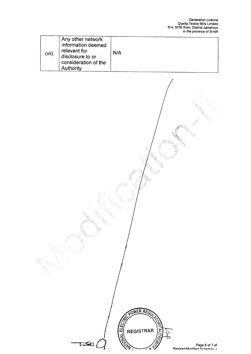aga kalendari dan kalendari dan kalendari dan kalendari dan kalendari dan kalendari dan bandari dan bandari da<br>Kabupatèn Kabupatèn Kabupatèn Kabupatèn Kabupatèn Kabupatèn Kabupatèn Kabupatèn Kabupatèn Kabupatèn Kabupatèn

 $\begin{smallmatrix} (d_1^{\ell}(t),d_1^{\ell}(t)) \\ (d_2^{\ell}(t),d_2^{\ell}(t)) \end{smallmatrix}$ 

y.

| $(vii)$ . | Any other network<br>information deemed<br>relevant for<br>disclosure to or<br>consideration of the<br>Authority | N/A |
|-----------|------------------------------------------------------------------------------------------------------------------|-----|
|-----------|------------------------------------------------------------------------------------------------------------------|-----|

POWER REG

**REGISTRAR** 

**AUI** 

REGISTRIES

Q

e.<br>Gryn

 $\mathbb{R}$ 

현충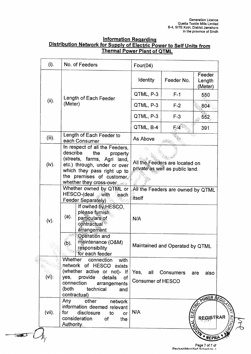#### **Information Regarding Distribution Network for Supply of Electric Power to Self Units from Thermal Power Plant of QTML**

| (i).                                                                                                                                          | No. of Feeders                                                                                                                                                                                                       | Four(04)                                    |                                                                   |                             |
|-----------------------------------------------------------------------------------------------------------------------------------------------|----------------------------------------------------------------------------------------------------------------------------------------------------------------------------------------------------------------------|---------------------------------------------|-------------------------------------------------------------------|-----------------------------|
|                                                                                                                                               |                                                                                                                                                                                                                      | Identity                                    | Feeder No.                                                        | Feeder<br>Length<br>(Meter) |
|                                                                                                                                               | Length of Each Feeder                                                                                                                                                                                                | QTML, P-3                                   | $F-1$                                                             | 550                         |
| (ii).                                                                                                                                         | (Meter)                                                                                                                                                                                                              | QTML, P-3                                   | $F-2$                                                             | ౣ. 804                      |
|                                                                                                                                               |                                                                                                                                                                                                                      | QTML, P-3                                   | $F-3$                                                             | 552                         |
|                                                                                                                                               |                                                                                                                                                                                                                      | QTML, B-4                                   | $F - 4$                                                           | 391                         |
| $(iii)$ .                                                                                                                                     | Length of Each Feeder to<br>each Consumer                                                                                                                                                                            | As Above                                    |                                                                   |                             |
| (iv).                                                                                                                                         | In respect of all the Feeders,<br>describe<br>the<br>property<br>(streets, farms, Agri land,<br>etc.) through, under or over<br>which they pass right up to<br>the premises of customer,<br>whether they cross-over. |                                             | All the Feeders are located on<br>private as well as public land. |                             |
|                                                                                                                                               | Whether owned by QTML or<br>HESCO-(deal with<br>each<br>Feeder Separately)                                                                                                                                           | All the Feeders are owned by QTML<br>itself |                                                                   |                             |
| (v).                                                                                                                                          | If owned by HESCO,<br>please furnish<br>(a).<br>particulars of<br>contractual<br>arrangement                                                                                                                         | N/A                                         |                                                                   |                             |
|                                                                                                                                               | Operation and<br>maintenance (O&M)<br>(b).<br>responsibility<br>for each feeder                                                                                                                                      |                                             | Maintained and Operated by QTML                                   |                             |
| $(vi)$ :                                                                                                                                      | Whether connection<br>with<br>network of HESCO exists<br>(whether active or not)- If<br>yes, provide<br>details of<br>connection<br>arrangements<br>(both<br>technical<br>and<br>contractual)                        |                                             | Yes, all Consumers<br>also<br>are<br><b>Consumer of HESCO</b>     |                             |
| other<br>Any<br>network<br>information deemed relevant<br>$(vii)$ .<br>disclosure to<br>for<br>or<br>consideration<br>of<br>the<br>Authority. |                                                                                                                                                                                                                      | N/A                                         | ្ម<br>អ                                                           | WER RECT<br>REGISTRAR<br>する |

Page 7 of 7 of<br>الـ Revised/Modified Schedule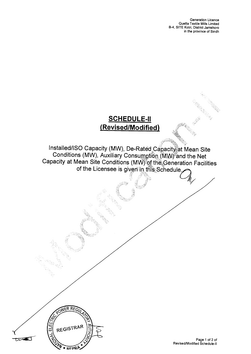Generation Licence Quetta Textile Mills Limited B-4, SITE Kotri, District Jamshoro in the province of Sindh

### **SCHEDULE-II (Revised/Modified)**

Installed/ISO Capacity (MW), De-Rated Capacity at Mean Site Conditions (MW), Auxiliary Consumption (MW) and the Net Capacity at Mean Site Conditions (MW) of the Generation Facilities of the Licensee is given in this Schedule.

NER RE

REGISTRAR

**\* NEDRA** 

ELEC

ź

ŲŊ